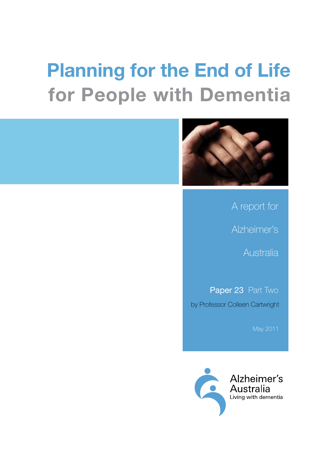# **Planning for the End of Life for People with Dementia**



A report for

Alzheimer's

Australia

by Professor Colleen Cartwright Paper 23 Part Two

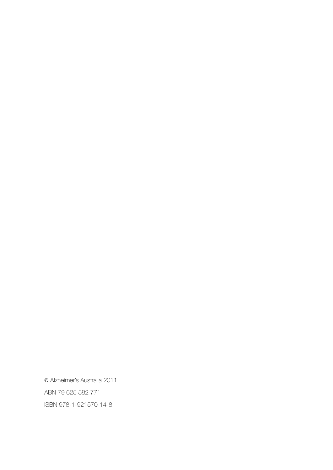© Alzheimer's Australia 2011 ABN 79 625 582 771 ISBN 978-1-921570-14-8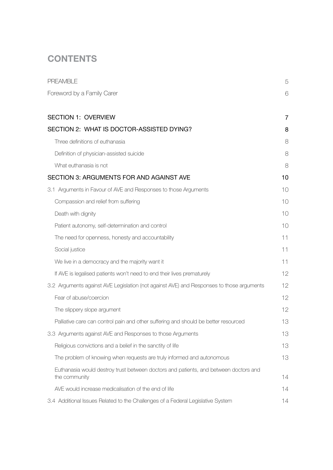# **CONTENTS**

| <b>PREAMBLE</b>                                                                                       | 5  |
|-------------------------------------------------------------------------------------------------------|----|
| Foreword by a Family Carer                                                                            | 6  |
| <b>SECTION 1: OVERVIEW</b>                                                                            | 7  |
| SECTION 2: WHAT IS DOCTOR-ASSISTED DYING?                                                             | 8  |
| Three definitions of euthanasia                                                                       | 8  |
| Definition of physician-assisted suicide                                                              | 8  |
| What euthanasia is not                                                                                | 8  |
| SECTION 3: ARGUMENTS FOR AND AGAINST AVE                                                              | 10 |
| 3.1 Arguments in Favour of AVE and Responses to those Arguments                                       | 10 |
| Compassion and relief from suffering                                                                  | 10 |
| Death with dignity                                                                                    | 10 |
| Patient autonomy, self-determination and control                                                      | 10 |
| The need for openness, honesty and accountability                                                     | 11 |
| Social justice                                                                                        | 11 |
| We live in a democracy and the majority want it                                                       | 11 |
| If AVE is legalised patients won't need to end their lives prematurely                                | 12 |
| 3.2 Arguments against AVE Legislation (not against AVE) and Responses to those arguments              | 12 |
| Fear of abuse/coercion                                                                                | 12 |
| The slippery slope argument                                                                           | 12 |
| Palliative care can control pain and other suffering and should be better resourced                   | 13 |
| 3.3 Arguments against AVE and Responses to those Arguments                                            | 13 |
| Religious convictions and a belief in the sanctity of life                                            | 13 |
| The problem of knowing when requests are truly informed and autonomous                                | 13 |
| Euthanasia would destroy trust between doctors and patients, and between doctors and<br>the community | 14 |
| AVE would increase medicalisation of the end of life                                                  | 14 |
| 3.4 Additional Issues Related to the Challenges of a Federal Legislative System                       | 14 |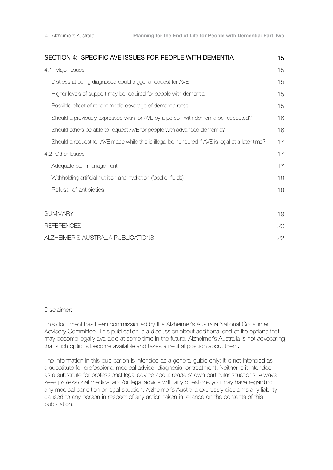| SECTION 4: SPECIFIC AVE ISSUES FOR PEOPLE WITH DEMENTIA                                          | 15 |
|--------------------------------------------------------------------------------------------------|----|
| 4.1 Major Issues                                                                                 | 15 |
| Distress at being diagnosed could trigger a request for AVE                                      | 15 |
| Higher levels of support may be required for people with dementia                                | 15 |
| Possible effect of recent media coverage of dementia rates                                       | 15 |
| Should a previously expressed wish for AVE by a person with dementia be respected?               | 16 |
| Should others be able to request AVE for people with advanced dementia?                          | 16 |
| Should a request for AVE made while this is illegal be honoured if AVE is legal at a later time? | 17 |
| 4.2 Other Issues                                                                                 | 17 |
| Adequate pain management                                                                         | 17 |
| Withholding artificial nutrition and hydration (food or fluids)                                  | 18 |
| Refusal of antibiotics                                                                           | 18 |
|                                                                                                  |    |
| <b>SUMMARY</b>                                                                                   | 19 |
| <b>REFERENCES</b>                                                                                | 20 |
| ALZHEIMER'S AUSTRALIA PUBLICATIONS                                                               | 22 |

### Disclaimer:

This document has been commissioned by the Alzheimer's Australia National Consumer Advisory Committee. This publication is a discussion about additional end-of-life options that may become legally available at some time in the future. Alzheimer's Australia is not advocating that such options become available and takes a neutral position about them.

The information in this publication is intended as a general guide only: it is not intended as a substitute for professional medical advice, diagnosis, or treatment. Neither is it intended as a substitute for professional legal advice about readers' own particular situations. Always seek professional medical and/or legal advice with any questions you may have regarding any medical condition or legal situation. Alzheimer's Australia expressly disclaims any liability caused to any person in respect of any action taken in reliance on the contents of this publication.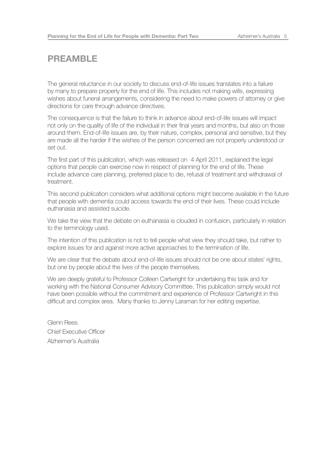### **PREAMBLE**

The general reluctance in our society to discuss end-of-life issues translates into a failure by many to prepare properly for the end of life. This includes not making wills, expressing wishes about funeral arrangements, considering the need to make powers of attorney or give directions for care through advance directives.

The consequence is that the failure to think in advance about end-of-life issues will impact not only on the quality of life of the individual in their final years and months, but also on those around them. End-of-life issues are, by their nature, complex, personal and sensitive, but they are made all the harder if the wishes of the person concerned are not properly understood or set out.

The first part of this publication, which was released on 4 April 2011, explained the legal options that people can exercise now in respect of planning for the end of life. These include advance care planning, preferred place to die, refusal of treatment and withdrawal of treatment.

This second publication considers what additional options might become available in the future that people with dementia could access towards the end of their lives. These could include euthanasia and assisted suicide.

We take the view that the debate on euthanasia is clouded in confusion, particularly in relation to the terminology used.

The intention of this publication is not to tell people what view they should take, but rather to explore issues for and against more active approaches to the termination of life.

We are clear that the debate about end-of-life issues should not be one about states' rights, but one by people about the lives of the people themselves.

We are deeply grateful to Professor Colleen Cartwright for undertaking this task and for working with the National Consumer Advisory Committee. This publication simply would not have been possible without the commitment and experience of Professor Cartwright in this difficult and complex area. Many thanks to Jenny Laraman for her editing expertise.

Glenn Rees Chief Executive Officer Alzheimer's Australia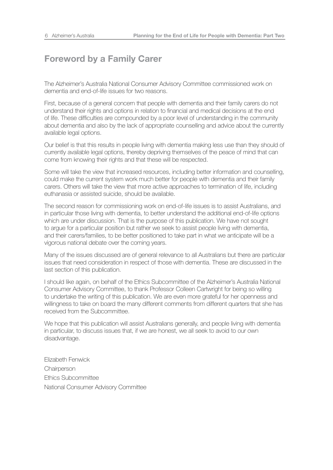# **Foreword by a Family Carer**

The Alzheimer's Australia National Consumer Advisory Committee commissioned work on dementia and end-of-life issues for two reasons.

First, because of a general concern that people with dementia and their family carers do not understand their rights and options in relation to financial and medical decisions at the end of life. These difficulties are compounded by a poor level of understanding in the community about dementia and also by the lack of appropriate counselling and advice about the currently available legal options.

Our belief is that this results in people living with dementia making less use than they should of currently available legal options, thereby depriving themselves of the peace of mind that can come from knowing their rights and that these will be respected.

Some will take the view that increased resources, including better information and counselling, could make the current system work much better for people with dementia and their family carers. Others will take the view that more active approaches to termination of life, including euthanasia or assisted suicide, should be available.

The second reason for commissioning work on end-of-life issues is to assist Australians, and in particular those living with dementia, to better understand the additional end-of-life options which are under discussion. That is the purpose of this publication. We have not sought to argue for a particular position but rather we seek to assist people living with dementia, and their carers/families, to be better positioned to take part in what we anticipate will be a vigorous national debate over the coming years.

Many of the issues discussed are of general relevance to all Australians but there are particular issues that need consideration in respect of those with dementia. These are discussed in the last section of this publication.

I should like again, on behalf of the Ethics Subcommittee of the Alzheimer's Australia National Consumer Advisory Committee, to thank Professor Colleen Cartwright for being so willing to undertake the writing of this publication. We are even more grateful for her openness and willingness to take on board the many different comments from different quarters that she has received from the Subcommittee.

We hope that this publication will assist Australians generally, and people living with dementia in particular, to discuss issues that, if we are honest, we all seek to avoid to our own disadvantage.

Elizabeth Fenwick **Chairperson** Ethics Subcommittee National Consumer Advisory Committee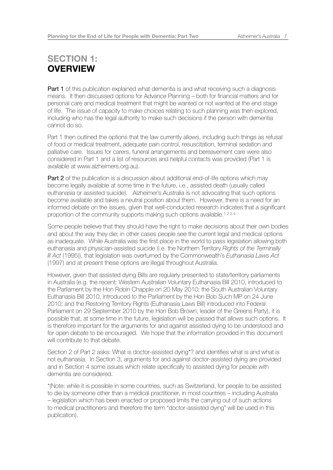# **SECTION 1: OVERVIEW**

**Part 1** of this publication explained what dementia is and what receiving such a diagnosis means. It then discussed options for Advance Planning – both for financial matters and for personal care and medical treatment that might be wanted or not wanted at the end stage of life. The issue of capacity to make choices relating to such planning was then explored, including who has the legal authority to make such decisions if the person with dementia cannot do so.

Part 1 then outlined the options that the law currently allows, including such things as refusal of food or medical treatment, adequate pain control, resuscitation, terminal sedation and palliative care. Issues for carers, funeral arrangements and bereavement care were also considered in Part 1 and a list of resources and helpful contacts was provided (Part 1 is available at www.alzheimers.org.au).

**Part 2** of the publication is a discussion about additional end-of-life options which may become legally available at some time in the future, i.e., assisted death (usually called euthanasia or assisted suicide). Alzheimer's Australia is not advocating that such options become available and takes a neutral position about them. However, there is a need for an informed debate on the issues, given that well-conducted research indicates that a significant proportion of the community supports making such options available.<sup>1234</sup>

Some people believe that they should have the right to make decisions about their own bodies and about the way they die; in other cases people see the current legal and medical options as inadequate. While Australia was the first place in the world to pass legislation allowing both euthanasia and physician-assisted suicide (i.e. the Northern Territory *Rights of the Terminally Ill Act* (1995)), that legislation was overturned by the Commonwealth's *Euthanasia Laws Act*  (1997) and at present these options are illegal throughout Australia.

However, given that assisted dying Bills are regularly presented to state/territory parliaments in Australia (e.g. the recent: Western Australian Voluntary Euthanasia Bill 2010, introduced to the Parliament by the Hon Robin Chapple on 20 May 2010; the South Australian Voluntary Euthanasia Bill 2010, introduced to the Parliament by the Hon Bob Such MP on 24 June 2010; and the Restoring Territory Rights (Euthanasia Laws Bill) introduced into Federal Parliament on 29 September 2010 by the Hon Bob Brown, leader of the Greens Party), it is possible that, at some time in the future, legislation will be passed that allows such options. It is therefore important for the arguments for and against assisted dying to be understood and for open debate to be encouraged. We hope that the information provided in this document will contribute to that debate.

Section 2 of Part 2 asks: What is doctor-assisted dying\*? and identifies what is and what is not euthanasia. In Section 3, arguments for and against doctor-assisted dying are provided and in Section 4 some issues which relate specifically to assisted dying for people with dementia are considered.

\*(Note: while it is possible in some countries, such as Switzerland, for people to be assisted to die by someone other than a medical practitioner, in most countries – including Australia – legislation which has been enacted or proposed limits the carrying out of such actions to medical practitioners and therefore the term "doctor-assisted dying" will be used in this publication).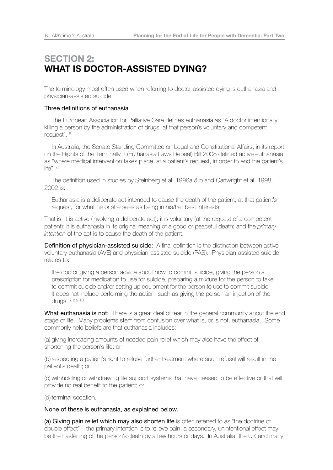# **SECTION 2: WHAT IS DOCTOR-ASSISTED DYING?**

The terminology most often used when referring to doctor-assisted dying is euthanasia and physician-assisted suicide.

### Three definitions of euthanasia

 The European Association for Palliative Care defines euthanasia as "A doctor intentionally killing a person by the administration of drugs, at that person's voluntary and competent request". <sup>5</sup>

In Australia, the Senate Standing Committee on Legal and Constitutional Affairs, in its report on the Rights of the Terminally Ill (Euthanasia Laws Repeal) Bill 2008 defined active euthanasia as "where medical intervention takes place, at a patient's request, in order to end the patient's life". <sup>6</sup>

 The definition used in studies by Steinberg et al, 1996a & b and Cartwright et al, 1998, 2002 is:

 Euthanasia is a deliberate act intended to cause the death of the patient, at that patient's request, for what he or she sees as being in his/her best interests.

That is, it is active (involving a deliberate act); it is voluntary (at the request of a competent patient); it is euthanasia in its original meaning of a good or peaceful death; and the *primary intention* of the act is to cause the death of the patient.

**Definition of physician-assisted suicide:** A final definition is the distinction between active voluntary euthanasia (AVE) and physician-assisted suicide (PAS). Physician-assisted suicide relates to:

 the doctor giving a person advice about how to commit suicide, giving the person a prescription for medication to use for suicide, preparing a mixture for the person to take to commit suicide and/or setting up equipment for the person to use to commit suicide. It does not include performing the action, such as giving the person an injection of the drugs. 7 8 9 10

What euthanasia is not: There is a great deal of fear in the general community about the end stage of life. Many problems stem from confusion over what is, or is not, euthanasia. Some commonly held beliefs are that euthanasia includes:

(a) giving increasing amounts of needed pain relief which may also have the effect of shortening the person's life; or

(b) respecting a patient's right to refuse further treatment where such refusal will result in the patient's death; or

(c) withholding or withdrawing life support systems that have ceased to be effective or that will provide no real benefit to the patient; or

(d) terminal sedation.

None of these is euthanasia, as explained below.

(a) Giving pain relief which may also shorten life is often referred to as "the doctrine of double effect" – the primary intention is to relieve pain; a secondary, unintentional effect may be the hastening of the person's death by a few hours or days. In Australia, the UK and many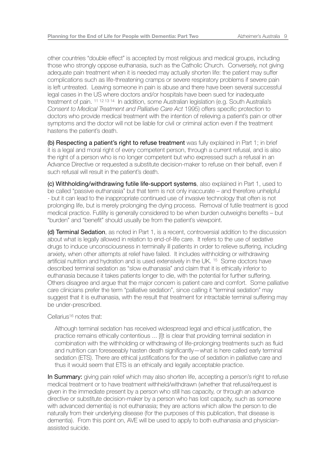other countries "double effect" is accepted by most religious and medical groups, including those who strongly oppose euthanasia, such as the Catholic Church. Conversely, not giving adequate pain treatment when it is needed may actually shorten life: the patient may suffer complications such as life-threatening cramps or severe respiratory problems if severe pain is left untreated. Leaving someone in pain is abuse and there have been several successful legal cases in the US where doctors and/or hospitals have been sued for inadequate treatment of pain. 11 12 13 14 In addition, some Australian legislation (e.g. South Australia's *Consent to Medical Treatment and Palliative Care Act* 1995) offers specific protection to doctors who provide medical treatment with the intention of relieving a patient's pain or other symptoms and the doctor will not be liable for civil or criminal action even if the treatment hastens the patient's death.

(b) Respecting a patient's right to refuse treatment was fully explained in Part 1; in brief it is a legal and moral right of every competent person, through a current refusal, and is also the right of a person who is no longer competent but who expressed such a refusal in an Advance Directive or requested a substitute decision-maker to refuse on their behalf, even if such refusal will result in the patient's death.

(c) Withholding/withdrawing futile life-support systems, also explained in Part 1, used to be called "passive euthanasia" but that term is not only inaccurate – and therefore unhelpful - but it can lead to the inappropriate continued use of invasive technology that often is not prolonging life, but is merely prolonging the dying process. Removal of futile treatment is good medical practice. Futility is generally considered to be when burden outweighs benefits – but "burden" and "benefit" should usually be from the patient's viewpoint.

(d) Terminal Sedation, as noted in Part 1, is a recent, controversial addition to the discussion about what is legally allowed in relation to end-of-life care. It refers to the use of sedative drugs to induce unconsciousness in terminally ill patients in order to relieve suffering, including anxiety, when other attempts at relief have failed. It includes withholding or withdrawing artificial nutrition and hydration and is used extensively in the UK. <sup>15</sup> Some doctors have described terminal sedation as "slow euthanasia" and claim that it is ethically inferior to euthanasia because it takes patients longer to die, with the potential for further suffering. Others disagree and argue that the major concern is patient care and comfort. Some palliative care clinicians prefer the term "palliative sedation", since calling it "terminal sedation" may suggest that it is euthanasia, with the result that treatment for intractable terminal suffering may be under-prescribed.

Cellarius16 notes that:

 Although terminal sedation has received widespread legal and ethical justification, the practice remains ethically contentious ... [I]t is clear that providing terminal sedation in combination with the withholding or withdrawing of life-prolonging treatments such as fluid and nutrition can foreseeably hasten death significantly—what is here called early terminal sedation (ETS). There are ethical justifications for the use of sedation in palliative care and thus it would seem that ETS is an ethically and legally acceptable practice.

In Summary: giving pain relief which may also shorten life, accepting a person's right to refuse medical treatment or to have treatment withheld/withdrawn (whether that refusal/request is given in the immediate present by a person who still has capacity, or through an advance directive or substitute decision-maker by a person who has lost capacity, such as someone with advanced dementia) is not euthanasia; they are actions which allow the person to die naturally from their underlying disease (for the purposes of this publication, that disease is dementia). From this point on, AVE will be used to apply to both euthanasia and physicianassisted suicide.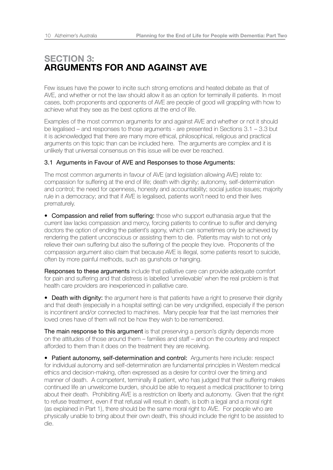## **SECTION 3: ARGUMENTS FOR AND AGAINST AVE**

Few issues have the power to incite such strong emotions and heated debate as that of AVE, and whether or not the law should allow it as an option for terminally ill patients. In most cases, both proponents and opponents of AVE are people of good will grappling with how to achieve what they see as the best options at the end of life.

Examples of the most common arguments for and against AVE and whether or not it should be legalised – and responses to those arguments - are presented in Sections 3.1 – 3.3 but it is acknowledged that there are many more ethical, philosophical, religious and practical arguments on this topic than can be included here. The arguments are complex and it is unlikely that universal consensus on this issue will be ever be reached.

### 3.1 Arguments in Favour of AVE and Responses to those Arguments:

The most common arguments in favour of AVE (and legislation allowing AVE) relate to: compassion for suffering at the end of life; death with dignity; autonomy, self-determination and control; the need for openness, honesty and accountability; social justice issues; majority rule in a democracy; and that if AVE is legalised, patients won't need to end their lives prematurely.

• Compassion and relief from suffering: those who support euthanasia argue that the current law lacks compassion and mercy, forcing patients to continue to suffer and denying doctors the option of ending the patient's agony, which can sometimes only be achieved by rendering the patient unconscious or assisting them to die. Patients may wish to not only relieve their own suffering but also the suffering of the people they love. Proponents of the compassion argument also claim that because AVE is illegal, some patients resort to suicide, often by more painful methods, such as gunshots or hanging.

Responses to these arguments include that palliative care can provide adequate comfort for pain and suffering and that distress is labelled 'unrelievable' when the real problem is that health care providers are inexperienced in palliative care.

• Death with dignity: the argument here is that patients have a right to preserve their dignity and that death (especially in a hospital setting) can be very undignified, especially if the person is incontinent and/or connected to machines. Many people fear that the last memories their loved ones have of them will not be how they wish to be remembered.

The main response to this argument is that preserving a person's dignity depends more on the attitudes of those around them – families and staff – and on the courtesy and respect afforded to them than it does on the treatment they are receiving.

• Patient autonomy, self-determination and control: Arguments here include: respect for individual autonomy and self-determination are fundamental principles in Western medical ethics and decision-making, often expressed as a desire for control over the timing and manner of death. A competent, terminally ill patient, who has judged that their suffering makes continued life an unwelcome burden, should be able to request a medical practitioner to bring about their death. Prohibiting AVE is a restriction on liberty and autonomy. Given that the right to refuse treatment, even if that refusal will result in death, is both a legal and a moral right (as explained in Part 1), there should be the same moral right to AVE. For people who are physically unable to bring about their own death, this should include the right to be assisted to die.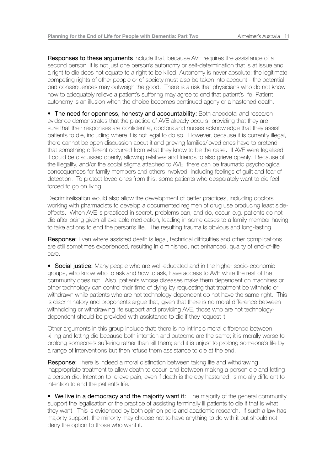Responses to these arguments include that, because AVE requires the assistance of a second person, it is not just one person's autonomy or self-determination that is at issue and a right to die does not equate to a right to be killed. Autonomy is never absolute; the legitimate competing rights of other people or of society must also be taken into account - the potential bad consequences may outweigh the good. There is a risk that physicians who do not know how to adequately relieve a patient's suffering may agree to end that patient's life. Patient autonomy is an illusion when the choice becomes continued agony or a hastened death.

• The need for openness, honesty and accountability: Both anecdotal and research evidence demonstrates that the practice of AVE already occurs; providing that they are sure that their responses are confidential, doctors and nurses acknowledge that they assist patients to die, including where it is not legal to do so. However, because it is currently illegal, there cannot be open discussion about it and grieving families/loved ones have to pretend that something different occurred from what they know to be the case. If AVE were legalised it could be discussed openly, allowing relatives and friends to also grieve openly. Because of the illegality, and/or the social stigma attached to AVE, there can be traumatic psychological consequences for family members and others involved, including feelings of guilt and fear of detection. To protect loved ones from this, some patients who desperately want to die feel forced to go on living.

Decriminalisation would also allow the development of better practices, including doctors working with pharmacists to develop a documented regimen of drug use producing least sideeffects. When AVE is practiced in secret, problems can, and do, occur, e.g. patients do not die after being given all available medication, leading in some cases to a family member having to take actions to end the person's life. The resulting trauma is obvious and long-lasting.

Response: Even where assisted death is legal, technical difficulties and other complications are still sometimes experienced, resulting in diminished, not enhanced, quality of end-of-life care.

• Social justice: Many people who are well-educated and in the higher socio-economic groups, who know who to ask and how to ask, have access to AVE while the rest of the community does not. Also, patients whose diseases make them dependent on machines or other technology can control their time of dying by requesting that treatment be withheld or withdrawn while patients who are not technology-dependent do not have the same right. This is discriminatory and proponents argue that, given that there is no moral difference between withholding or withdrawing life support and providing AVE, those who are not technologydependent should be provided with assistance to die if they request it.

Other arguments in this group include that: there is no intrinsic moral difference between killing and letting die because both intention and outcome are the same; it is morally worse to prolong someone's suffering rather than kill them; and it is unjust to prolong someone's life by a range of interventions but then refuse them assistance to die at the end.

Response: There is indeed a moral distinction between taking life and withdrawing inappropriate treatment to allow death to occur, and between making a person die and letting a person die. Intention to relieve pain, even if death is thereby hastened, is morally different to intention to end the patient's life.

• We live in a democracy and the majority want it: The majority of the general community support the legalisation or the practice of assisting terminally ill patients to die if that is what they want. This is evidenced by both opinion polls and academic research. If such a law has majority support, the minority may choose not to have anything to do with it but should not deny the option to those who want it.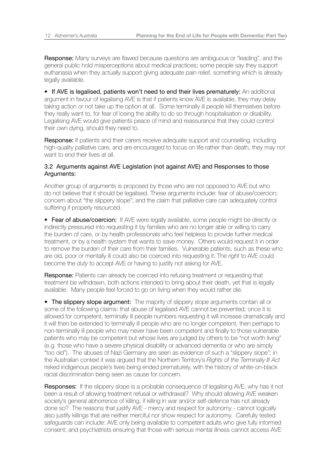Response: Many surveys are flawed because questions are ambiguous or "leading", and the general public hold misperceptions about medical practices; some people say they support euthanasia when they actually support giving adequate pain relief, something which is already legally available.

• If AVE is legalised, patients won't need to end their lives prematurely: An additional argument in favour of legalising AVE is that if patients know AVE is available, they may delay taking action or not take up the option at all. Some terminally ill people kill themselves before they really want to, for fear of losing the ability to do so through hospitalisation or disability. Legalising AVE would give patients peace of mind and reassurance that they could control their own dying, should they need to.

Response: If patients and their carers receive adequate support and counselling, including high-quality palliative care, and are encouraged to focus on life rather than death, they may not want to end their lives at all.

### 3.2 Arguments against AVE Legislation (not against AVE) and Responses to those Arguments:

Another group of arguments is proposed by those who are not opposed to AVE but who do not believe that it should be legalised. These arguments include: fear of abuse/coercion; concern about "the slippery slope"; and the claim that palliative care can adequately control suffering if properly resourced.

• Fear of abuse/coercion: If AVE were legally available, some people might be directly or indirectly pressured into requesting it by families who are no longer able or willing to carry the burden of care, or by health professionals who feel helpless to provide further medical treatment, or by a health system that wants to save money. Others would request it in order to remove the burden of their care from their families. Vulnerable patients, such as these who are old, poor or mentally ill could also be coerced into requesting it. The *right* to AVE could become the *duty* to accept AVE or having to justify not asking for AVE.

Response: Patients can already be coerced into refusing treatment or requesting that treatment be withdrawn, both actions intended to bring about their death, yet that is legally available. Many people feel forced to go on living when they would rather die.

• The slippery slope argument: The majority of slippery slope arguments contain all or some of the following claims: that abuse of legalised AVE cannot be prevented; once it is allowed for competent, terminally ill people numbers requesting it will increase dramatically and it will then be extended to terminally ill people who are no longer competent, then perhaps to non-terminally ill people who may never have been competent and finally to those vulnerable patients who may be competent but whose lives are judged by others to be "not worth living" (e.g. those who have a severe physical disability or advanced dementia or who are simply "too old"). The abuses of Nazi Germany are seen as evidence of such a "slippery slope"; in the Australian context it was argued that the Northern Territory's *Rights of the Terminally Ill Act* risked indigenous people's lives being ended prematurely, with the history of white-on-black racial discrimination being seen as cause for concern.

Responses: If the slippery slope is a probable consequence of legalising AVE, why has it not been a result of allowing treatment refusal or withdrawal? Why should allowing AVE weaken society's general abhorrence of killing, if killing in war and/or self-defence has not already done so? The reasons that justify AVE - mercy and respect for autonomy - cannot logically also justify killings that are neither merciful nor show respect for autonomy. Carefully tested safeguards can include: AVE only being available to competent adults who give fully informed consent; and psychiatrists ensuring that those with serious mental illness cannot access AVE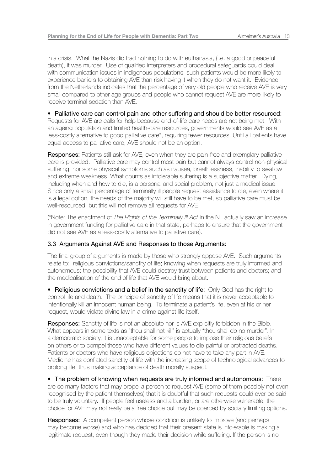in a crisis. What the Nazis did had nothing to do with euthanasia, (i.e. a good or peaceful death), it was murder. Use of qualified interpreters and procedural safeguards could deal with communication issues in indigenous populations; such patients would be more likely to experience barriers to obtaining AVE than risk having it when they do not want it. Evidence from the Netherlands indicates that the percentage of very old people who receive AVE is very small compared to other age groups and people who cannot request AVE are more likely to receive terminal sedation than AVE.

### • Palliative care can control pain and other suffering and should be better resourced:

Requests for AVE are calls for help because end-of-life care needs are not being met. With an ageing population and limited health-care resources, governments would see AVE as a less-costly alternative to good palliative care\*, requiring fewer resources. Until all patients have equal access to palliative care, AVE should not be an option.

Responses: Patients still ask for AVE, even when they are pain-free and exemplary palliative care is provided. Palliative care may control most pain but cannot always control non-physical suffering, nor some physical symptoms such as nausea, breathlessness, inability to swallow and extreme weakness. What counts as intolerable suffering is a subjective matter. Dying, including when and how to die, is a personal and social problem, not just a medical issue. Since only a small percentage of terminally ill people request assistance to die, even where it is a legal option, the needs of the majority will still have to be met, so palliative care must be well-resourced, but this will not remove all requests for AVE.

(\*Note: The enactment of *The Rights of the Terminally Ill Act* in the NT actually saw an increase in government funding for palliative care in that state, perhaps to ensure that the government did not see AVE as a less-costly alternative to palliative care).

### 3.3 Arguments Against AVE and Responses to those Arguments:

The final group of arguments is made by those who strongly oppose AVE. Such arguments relate to: religious convictions/sanctity of life; knowing when requests are truly informed and autonomous; the possibility that AVE could destroy trust between patients and doctors; and the medicalisation of the end of life that AVE would bring about.

• Religious convictions and a belief in the sanctity of life: Only God has the right to control life and death. The principle of sanctity of life means that it is never acceptable to intentionally kill an innocent human being. To terminate a patient's life, even at his or her request, would violate divine law in a crime against life itself.

Responses: Sanctity of life is not an absolute nor is AVE explicitly forbidden in the Bible. What appears in some texts as "thou shall not kill" is actually "thou shall do no murder". In a democratic society, it is unacceptable for some people to impose their religious beliefs on others or to compel those who have different values to die painful or protracted deaths. Patients or doctors who have religious objections do not have to take any part in AVE. Medicine has conflated sanctity of life with the increasing scope of technological advances to prolong life, thus making acceptance of death morally suspect.

• The problem of knowing when requests are truly informed and autonomous: There are so many factors that may propel a person to request AVE (some of them possibly not even recognised by the patient themselves) that it is doubtful that such requests could ever be said to be truly voluntary. If people feel useless and a burden, or are otherwise vulnerable, the choice for AVE may not really be a free choice but may be coerced by socially limiting options.

**Responses:** A competent person whose condition is unlikely to improve (and perhaps may become worse) and who has decided that their present state is intolerable is making a legitimate request, even though they made their decision while suffering. If the person is no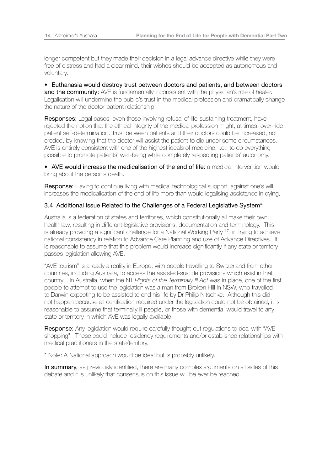longer competent but they made their decision in a legal advance directive while they were free of distress and had a clear mind, their wishes should be accepted as autonomous and voluntary.

• Euthanasia would destroy trust between doctors and patients, and between doctors and the community: AVE is fundamentally inconsistent with the physician's role of healer. Legalisation will undermine the public's trust in the medical profession and dramatically change the nature of the doctor-patient relationship.

Responses: Legal cases, even those involving refusal of life-sustaining treatment, have rejected the notion that the ethical integrity of the medical profession might, at times, over-ride patient self-determination. Trust between patients and their doctors could be increased, not eroded, by knowing that the doctor will assist the patient to die under some circumstances. AVE is entirely consistent with one of the highest ideals of medicine, i.e., to do everything possible to promote patients' well-being while completely respecting patients' autonomy.

• AVE would increase the medicalisation of the end of life: a medical intervention would bring about the person's death.

Response: Having to continue living with medical technological support, against one's will, increases the medicalisation of the end of life more than would legalising assistance in dying.

### 3.4 Additional Issue Related to the Challenges of a Federal Legislative System\*:

Australia is a federation of states and territories, which constitutionally all make their own health law, resulting in different legislative provisions, documentation and terminology. This is already providing a significant challenge for a National Working Party 17 in trying to achieve national consistency in relation to Advance Care Planning and use of Advance Directives. It is reasonable to assume that this problem would increase significantly if any state or territory passes legislation allowing AVE.

"AVE tourism" is already a reality in Europe, with people travelling to Switzerland from other countries, including Australia, to access the assisted-suicide provisions which exist in that country. In Australia, when the NT *Rights of the Terminally Ill Act* was in place, one of the first people to attempt to use the legislation was a man from Broken Hill in NSW, who travelled to Darwin expecting to be assisted to end his life by Dr Philip Nitschke. Although this did not happen because all certification required under the legislation could not be obtained, it is reasonable to assume that terminally ill people, or those with dementia, would travel to any state or territory in which AVE was legally available.

Response: Any legislation would require carefully thought-out requlations to deal with "AVE shopping". These could include residency requirements and/or established relationships with medical practitioners in the state/territory.

\* Note: A National approach would be ideal but is probably unlikely.

In summary, as previously identified, there are many complex arguments on all sides of this debate and it is unlikely that consensus on this issue will be ever be reached.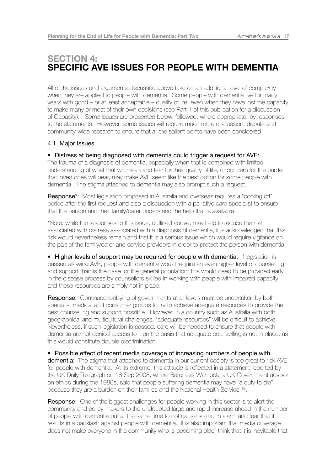### **SECTION 4: SPECIFIC AVE ISSUES FOR PEOPLE WITH DEMENTIA**

All of the issues and arguments discussed above take on an additional level of complexity when they are applied to people with dementia. Some people with dementia live for many years with good – or at least acceptable – quality of life, even when they have lost the capacity to make many or most of their own decisions (see Part 1 of this publication for a discussion of Capacity). Some issues are presented below, followed, where appropriate, by responses to the statements. However, some issues will require much more discussion, debate and community-wide research to ensure that all the salient points have been considered.

### 4.1 Major Issues

### • Distress at being diagnosed with dementia could trigger a request for AVE:

The trauma of a diagnosis of dementia, especially when that is combined with limited understanding of what that will mean and fear for their quality of life, or concern for the burden that loved ones will bear, may make AVE seem like the best option for some people with dementia. The stigma attached to dementia may also prompt such a request.

Response<sup>\*</sup>: Most legislation proposed in Australia and overseas requires a "cooling off" period after the first request and also a discussion with a palliative care specialist to ensure that the person and their family/carer understand the help that is available.

\*Note: while the responses to this issue, outlined above, may help to reduce the risk associated with distress associated with a diagnosis of dementia, it is acknowledged that this risk would nevertheless remain and that it is a serious issue which would require vigilance on the part of the family/carer and service providers in order to protect the person with dementia.

• Higher levels of support may be required for people with dementia: If legislation is passed allowing AVE, people with dementia would require an even higher level of counselling and support than is the case for the general population; this would need to be provided early in the disease process by counsellors skilled in working with people with impaired capacity and these resources are simply not in place.

Response: Continued lobbying of governments at all levels must be undertaken by both specialist medical and consumer groups to try to achieve adequate resources to provide the best counselling and support possible. However, in a country such as Australia with both geographical and multicultural challenges, "adequate resources" will be difficult to achieve. Nevertheless, if such legislation is passed, care will be needed to ensure that people with dementia are not denied access to it on the basis that adequate counselling is not in place, as this would constitute double discrimination.

• Possible effect of recent media coverage of increasing numbers of people with dementia: The stigma that attaches to dementia in our current society is too great to risk AVE for people with dementia. At its extreme, this attitude is reflected in a statement reported by the UK Daily Telegraph on 18 Sep 2008, where Baroness Warnock, a UK Government advisor on ethics during the 1980s, said that people suffering dementia may have "a duty to die" because they are a burden on their families and the National Health Service 18.

Response: One of the biggest challenges for people working in this sector is to alert the community and policy-makers to the undoubted large and rapid increase ahead in the number of people with dementia but at the same time to not cause so much alarm and fear that it results in a backlash against people with dementia. It is also important that media coverage does not make everyone in the community who is becoming older think that it is inevitable that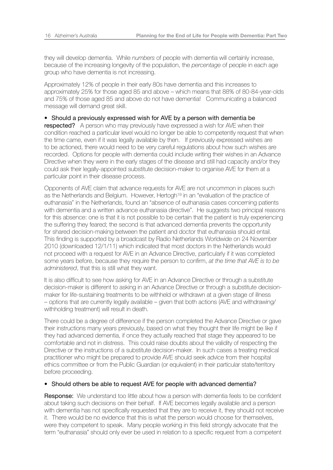they will develop dementia. While *numbers* of people with dementia will certainly increase, because of the increasing longevity of the population, the *percentage* of people in each age group who have dementia is not increasing.

Approximately 12% of people in their early 80s have dementia and this increases to approximately 25% for those aged 85 and above – which means that 88% of 80-84-year-olds and 75% of those aged 85 and above do not have dementia! Communicating a balanced message will demand great skill.

### • Should a previously expressed wish for AVE by a person with dementia be

respected? A person who may previously have expressed a wish for AVE when their condition reached a particular level would no longer be able to competently request that when the time came, even if it was legally available by then. If previously expressed wishes are to be actioned, there would need to be very careful regulations about how such wishes are recorded. Options for people with dementia could include writing their wishes in an Advance Directive when they were in the early stages of the disease and still had capacity and/or they could ask their legally-appointed substitute decision-maker to organise AVE for them at a particular point in their disease process.

Opponents of AVE claim that advance requests for AVE are not uncommon in places such as the Netherlands and Belgium. However, Hertogh19 in an "evaluation of the practice of euthanasia" in the Netherlands, found an "absence of euthanasia cases concerning patients with dementia and a written advance euthanasia directive". He suggests two principal reasons for this absence: one is that it is not possible to be certain that the patient is truly experiencing the suffering they feared; the second is that advanced dementia prevents the opportunity for shared decision-making between the patient and doctor that euthanasia should entail. This finding is supported by a broadcast by Radio Netherlands Worldwide on 24 November 2010 (downloaded 12/1/11) which indicated that most doctors in the Netherlands would not proceed with a request for AVE in an Advance Directive, particularly if it was completed some years before, because they require the person to confirm, *at the time that AVE is to be administered*, that this is still what they want.

It is also difficult to see how asking for AVE in an Advance Directive or through a substitute decision-maker is different to asking in an Advance Directive or through a substitute decisionmaker for life-sustaining treatments to be withheld or withdrawn at a given stage of illness – options that are currently legally available – given that both actions (AVE and withdrawing/ withholding treatment) will result in death.

There could be a degree of difference if the person completed the Advance Directive or gave their instructions many years previously, based on what they thought their life might be like if they had advanced dementia, if once they actually reached that stage they appeared to be comfortable and not in distress. This could raise doubts about the validity of respecting the Directive or the instructions of a substitute decision-maker. In such cases a treating medical practitioner who might be prepared to provide AVE should seek advice from their hospital ethics committee or from the Public Guardian (or equivalent) in their particular state/territory before proceeding.

### • Should others be able to request AVE for people with advanced dementia?

Response: We understand too little about how a person with dementia feels to be confident about taking such decisions on their behalf. If AVE becomes legally available and a person with dementia has not specifically requested that they are to receive it, they should not receive it. There would be no evidence that this is what the person would choose for themselves, were they competent to speak. Many people working in this field strongly advocate that the term "euthanasia" should only ever be used in relation to a specific request from a competent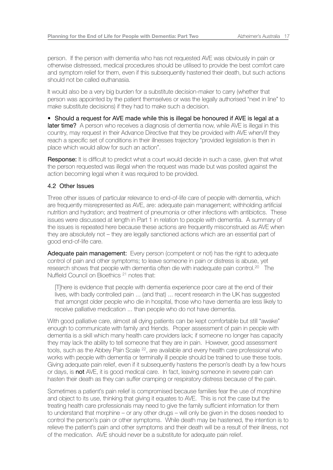person. If the person with dementia who has not requested AVE was obviously in pain or otherwise distressed, medical procedures should be utilised to provide the best comfort care and symptom relief for them, even if this subsequently hastened their death, but such actions should not be called euthanasia.

It would also be a very big burden for a substitute decision-maker to carry (whether that person was appointed by the patient themselves or was the legally authorised "next in line" to make substitute decisions) if they had to make such a decision.

• Should a request for AVE made while this is illegal be honoured if AVE is legal at a later time? A person who receives a diagnosis of dementia now, while AVE is illegal in this country, may request in their Advance Directive that they be provided with AVE when/if they reach a specific set of conditions in their illnesses trajectory "provided legislation is then in place which would allow for such an action".

Response: It is difficult to predict what a court would decide in such a case, given that what the person requested was illegal when the request was made but was posited against the action becoming legal when it was required to be provided.

### 4.2 Other Issues

Three other issues of particular relevance to end-of-life care of people with dementia, which are frequently misrepresented as AVE, are: adequate pain management; withholding artificial nutrition and hydration; and treatment of pneumonia or other infections with antibiotics. These issues were discussed at length in Part 1 in relation to people with dementia. A summary of the issues is repeated here because these actions are frequently misconstrued as AVE when they are absolutely not – they are legally sanctioned actions which are an essential part of good end-of-life care.

Adequate pain management: Every person (competent or not) has the right to adequate control of pain and other symptoms; to leave someone in pain or distress is abuse, yet research shows that people with dementia often die with inadequate pain control.<sup>20</sup> The Nuffield Council on Bioethics <sup>21</sup> notes that:

 [T]here is evidence that people with dementia experience poor care at the end of their lives, with badly controlled pain ... (and that) ... recent research in the UK has suggested that amongst older people who die in hospital, those who have dementia are less likely to receive palliative medication ... than people who do not have dementia.

With good palliative care, almost all dying patients can be kept comfortable but still "awake" enough to communicate with family and friends. Proper assessment of pain in people with dementia is a skill which many health care providers lack; if someone no longer has capacity they may lack the ability to tell someone that they are in pain. However, good assessment tools, such as the Abbey Pain Scale <sup>22</sup>, are available and every health care professional who works with people with dementia or terminally ill people should be trained to use these tools. Giving adequate pain relief, even if it subsequently hastens the person's death by a few hours or days, is not AVE, it is good medical care. In fact, leaving someone in severe pain can hasten their death as they can suffer cramping or respiratory distress because of the pain.

Sometimes a patient's pain relief is compromised because families fear the use of morphine and object to its use, thinking that giving it equates to AVE. This is not the case but the treating health care professionals may need to give the family sufficient information for them to understand that morphine – or any other drugs – will only be given in the doses needed to control the person's pain or other symptoms. While death may be hastened, the intention is to relieve the patient's pain and other symptoms and their death will be a result of their illness, not of the medication. AVE should never be a substitute for adequate pain relief.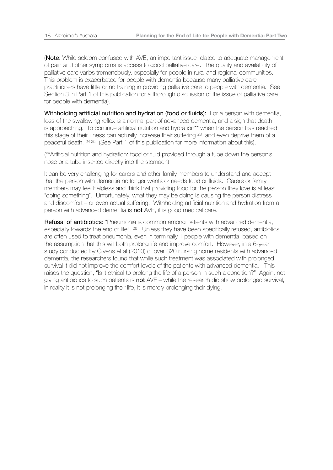(Note: While seldom confused with AVE, an important issue related to adequate management of pain and other symptoms is access to good palliative care. The quality and availability of palliative care varies tremendously, especially for people in rural and regional communities. This problem is exacerbated for people with dementia because many palliative care practitioners have little or no training in providing palliative care to people with dementia. See Section 3 in Part 1 of this publication for a thorough discussion of the issue of palliative care for people with dementia).

Withholding artificial nutrition and hydration (food or fluids): For a person with dementia, loss of the swallowing reflex is a normal part of advanced dementia, and a sign that death is approaching. To continue artificial nutrition and hydration\*\* when the person has reached this stage of their illness can actually increase their suffering <sup>23</sup> and even deprive them of a peaceful death. 24 25 (See Part 1 of this publication for more information about this).

(\*\*Artificial nutrition and hydration: food or fluid provided through a tube down the person's nose or a tube inserted directly into the stomach).

It can be very challenging for carers and other family members to understand and accept that the person with dementia no longer wants or needs food or fluids. Carers or family members may feel helpless and think that providing food for the person they love is at least "doing something". Unfortunately, what they may be doing is causing the person distress and discomfort – or even actual suffering. Withholding artificial nutrition and hydration from a person with advanced dementia is not AVE, it is good medical care.

**Refusal of antibiotics:** "Pneumonia is common among patients with advanced dementia, especially towards the end of life". <sup>26</sup> Unless they have been specifically refused, antibiotics are often used to treat pneumonia, even in terminally ill people with dementia, based on the assumption that this will both prolong life and improve comfort. However, in a 6-year study conducted by Givens et al (2010) of over 320 nursing home residents with advanced dementia, the researchers found that while such treatment was associated with prolonged survival it did not improve the comfort levels of the patients with advanced dementia. This raises the question, "Is it ethical to prolong the life of a person in such a condition?" Again, not giving antibiotics to such patients is  $not$  AVE – while the research did show prolonged survival, in reality it is not prolonging their life, it is merely prolonging their dying.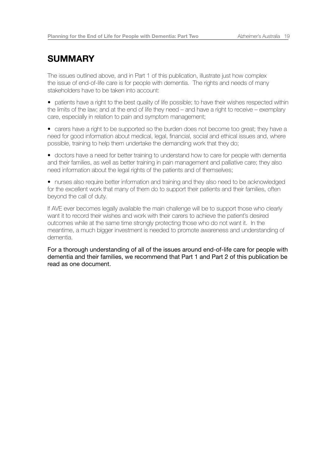### **SUMMARY**

The issues outlined above, and in Part 1 of this publication, illustrate just how complex the issue of end-of-life care is for people with dementia. The rights and needs of many stakeholders have to be taken into account:

• patients have a right to the best quality of life possible; to have their wishes respected within the limits of the law; and at the end of life they need – and have a right to receive – exemplary care, especially in relation to pain and symptom management;

• carers have a right to be supported so the burden does not become too great; they have a need for good information about medical, legal, financial, social and ethical issues and, where possible, training to help them undertake the demanding work that they do;

• doctors have a need for better training to understand how to care for people with dementia and their families, as well as better training in pain management and palliative care; they also need information about the legal rights of the patients and of themselves;

• nurses also require better information and training and they also need to be acknowledged for the excellent work that many of them do to support their patients and their families, often beyond the call of duty.

If AVE ever becomes legally available the main challenge will be to support those who clearly want it to record their wishes and work with their carers to achieve the patient's desired outcomes while at the same time strongly protecting those who do not want it. In the meantime, a much bigger investment is needed to promote awareness and understanding of dementia.

For a thorough understanding of all of the issues around end-of-life care for people with dementia and their families, we recommend that Part 1 and Part 2 of this publication be read as one document.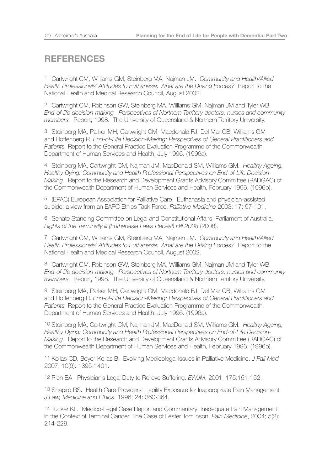### **REFERENCES**

1 Cartwright CM, Williams GM, Steinberg MA, Najman JM. *Community and Health/Allied Health Professionals' Attitudes to Euthanasia: What are the Driving Forces?* Report to the National Health and Medical Research Council, August 2002.

2 Cartwright CM, Robinson GW, Steinberg MA, Williams GM, Najman JM and Tyler WB. *End-of-life decision-making. Perspectives of Northern Territory doctors, nurses and community members.* Report, 1998. The University of Queensland & Northern Territory University.

3 Steinberg MA, Parker MH, Cartwright CM, Macdonald FJ, Del Mar CB, Williams GM and Hoffenberg R. *End-of-Life Decision-Making: Perspectives of General Practitioners and Patients.* Report to the General Practice Evaluation Programme of the Commonwealth Department of Human Services and Health, July 1996. (1996a).

4 Steinberg MA, Cartwright CM, Najman JM, MacDonald SM, Williams GM. *Healthy Ageing, Healthy Dying: Community and Health Professional Perspectives on End-of-Life Decision-Making.* Report to the Research and Development Grants Advisory Committee (RADGAC) of the Commonwealth Department of Human Services and Health, February 1996. (1996b).

5 (EPAC) European Association for Palliative Care. Euthanasia and physician-assisted suicide: a view from an EAPC Ethics Task Force, *Palliative Medicine* 2003; 17: 97-101.

6 Senate Standing Committee on Legal and Constitutional Affairs, Parliament of Australia, *Rights of the Terminally Ill (Euthanasia Laws Repeal) Bill 2008* (2008).

7 Cartwright CM, Williams GM, Steinberg MA, Najman JM. *Community and Health/Allied Health Professionals' Attitudes to Euthanasia: What are the Driving Forces?* Report to the National Health and Medical Research Council, August 2002.

8 Cartwright CM, Robinson GW, Steinberg MA, Williams GM, Najman JM and Tyler WB. *End-of-life decision-making. Perspectives of Northern Territory doctors, nurses and community members.* Report, 1998. The University of Queensland & Northern Territory University.

9 Steinberg MA, Parker MH, Cartwright CM, Macdonald FJ, Del Mar CB, Williams GM and Hoffenberg R. *End-of-Life Decision-Making: Perspectives of General Practitioners and Patients.* Report to the General Practice Evaluation Programme of the Commonwealth Department of Human Services and Health, July 1996. (1996a).

10 Steinberg MA, Cartwright CM, Najman JM, MacDonald SM, Williams GM. *Healthy Ageing, Healthy Dying: Community and Health Professional Perspectives on End-of-Life Decision-Making.* Report to the Research and Development Grants Advisory Committee (RADGAC) of the Commonwealth Department of Human Services and Health, February 1996. (1996b).

11 Kollas CD, Boyer-Kollas B. Evolving Medicolegal Issues in Palliative Medicine. *J Pall Med*  2007; 10(6): 1395-1401.

12 Rich BA. Physician's Legal Duty to Relieve Suffering. *EWJM*, 2001; 175:151-152.

13 Shapiro RS. Health Care Providers' Liability Exposure for Inappropriate Pain Management. *J Law, Medicine and Ethics.* 1996; 24: 360-364.

14 Tucker KL. Medico-Legal Case Report and Commentary: Inadequate Pain Management in the Context of Terminal Cancer. The Case of Lester Tomlinson. *Pain Medicine*, 2004; 5(2): 214-228.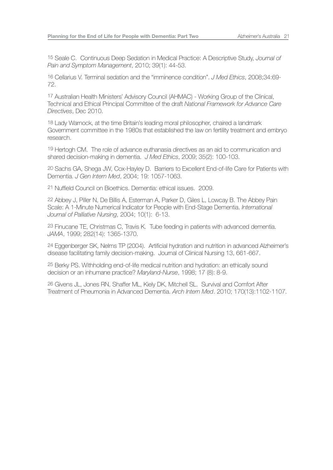15 Seale C. Continuous Deep Sedation in Medical Practice: A Descriptive Study, *Journal of Pain and Symptom Management*, 2010; 39(1): 44-53.

16 Cellarius V. Terminal sedation and the "imminence condition". *J Med Ethics*, 2008;34:69- 72.

17 Australian Health Ministers' Advisory Council (AHMAC) - Working Group of the Clinical, Technical and Ethical Principal Committee of the draft *National Framework for Advance Care Directives*, Dec 2010.

18 Lady Warnock, at the time Britain's leading moral philosopher, chaired a landmark Government committee in the 1980s that established the law on fertility treatment and embryo research.

19 Hertogh CM. The role of advance euthanasia directives as an aid to communication and shared decision-making in dementia. *J Med Ethics*, 2009; 35(2): 100-103.

20 Sachs GA, Shega JW, Cox-Hayley D. Barriers to Excellent End-of-life Care for Patients with Dementia. *J Gen Intern Med*, 2004; 19: 1057-1063.

21 Nuffield Council on Bioethics. Dementia: ethical issues. 2009.

22 Abbey J, Piller N, De Billis A, Esterman A, Parker D, Giles L, Lowcay B. The Abbey Pain Scale: A 1-Minute Numerical Indicator for People with End-Stage Dementia. *International Journal of Palliative Nursing*, 2004; 10(1): 6-13.

23 Finucane TE, Christmas C, Travis K. Tube feeding in patients with advanced dementia. *JAMA*, 1999; 282(14): 1365-1370.

24 Eggenberger SK, Nelms TP (2004). Artificial hydration and nutrition in advanced Alzheimer's disease facilitating family decision-making. Journal of Clinical Nursing 13, 661-667.

25 Berky PS. Withholding end-of-life medical nutrition and hydration: an ethically sound decision or an inhumane practice? *Maryland-Nurse*, 1998; 17 (8): 8-9.

26 Givens JL, Jones RN, Shaffer ML, Kiely DK, Mitchell SL. Survival and Comfort After Treatment of Pneumonia in Advanced Dementia. *Arch Intern Med*. 2010; 170(13):1102-1107.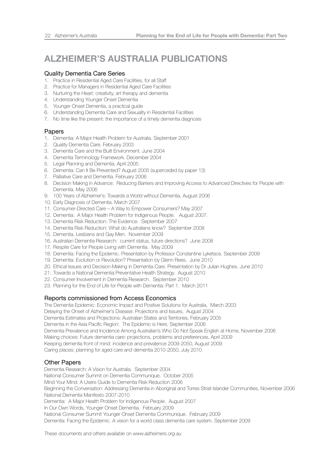# **ALZHEIMER'S AUSTRALIA PUBLICATIONS**

#### Quality Dementia Care Series

- 1. Practice in Residential Aged Care Facilities, for all Staff
- 2. Practice for Managers in Residential Aged Care Facilities
- 3. Nurturing the Heart: creativity, art therapy and dementia
- 4. Understanding Younger Onset Dementia
- 5. Younger Onset Dementia, a practical guide
- 6. Understanding Dementia Care and Sexuality in Residential Facilities
- 7. No time like the present: the importance of a timely dementia diagnosis

#### Papers

- 1. Dementia: A Major Health Problem for Australia. September 2001
- 2. Quality Dementia Care. February 2003
- 3. Dementia Care and the Built Environment. June 2004
- 4. Dementia Terminology Framework. December 2004
- 5. Legal Planning and Dementia. April 2005
- 6. Dementia: Can It Be Prevented? August 2005 (superceded by paper 13)
- 7. Palliative Care and Dementia. February 2006
- 8. Decision Making in Advance: Reducing Barriers and Improving Access to Advanced Directives for People with Dementia. May 2006
- 9. 100 Years of Alzheimer's: Towards a World without Dementia. August 2006
- 10. Early Diagnosis of Dementia. March 2007
- 11. Consumer-Directed Care A Way to Empower Consumers? May 2007
- 12. Dementia: A Major Health Problem for Indigenous People. August 2007.
- 13. Dementia Risk Reduction: The Evidence. September 2007
- 14. Dementia Risk Reduction: What do Australians know? September 2008
- 15. Dementia, Lesbians and Gay Men. November 2009
- 16. Australian Dementia Research: current status, future directions? June 2008
- 17. Respite Care for People Living with Dementia. May 2009
- 18. Dementia: Facing the Epidemic. Presentation by Professor Constantine Lyketsos. September 2009
- 19. Dementia: Evolution or Revolution? Presentation by Glenn Rees. June 2010
- 20. Ethical Issues and Decision-Making in Dementia Care. Presentation by Dr Julian Hughes. June 2010
- 21. Towards a National Dementia Preventative Health Strategy. August 2010
- 22. Consumer Involvement in Dementia Research. September 2010
- 23. Planning for the End of Life for People with Dementia: Part 1. March 2011

### Reports commissioned from Access Economics

The Dementia Epidemic: Economic Impact and Positive Solutions for Australia, March 2003

Delaying the Onset of Alzheimer's Disease: Projections and Issues, August 2004

Dementia Estimates and Projections: Australian States and Territories, February 2005

Dementia in the Asia Pacific Region: The Epidemic is Here, September 2006

Dementia Prevalence and Incidence Among Australian's Who Do Not Speak English at Home, November 2006

Making choices: Future dementia care: projections, problems and preferences, April 2009

Keeping dementia front of mind: incidence and prevalence 2009-2050, August 2009

Caring places: planning for aged care and dementia 2010-2050, July 2010

### Other Papers

Dementia Research: A Vision for Australia. September 2004 National Consumer Summit on Dementia Communique. October 2005 Mind Your Mind: A Users Guide to Dementia Risk Reduction 2006 Beginning the Conversation: Addressing Dementia in Aboriginal and Torres Strait Islander Communities, November 2006 National Dementia Manifesto 2007-2010 Dementia: A Major Health Problem for Indigenous People. August 2007 In Our Own Words, Younger Onset Dementia. February 2009 National Consumer Summit Younger Onset Dementia Communique. February 2009 Dementia: Facing the Epidemic. A vision for a world class dementia care system. September 2009

*These documents and others available on www.alzheimers.org.au*